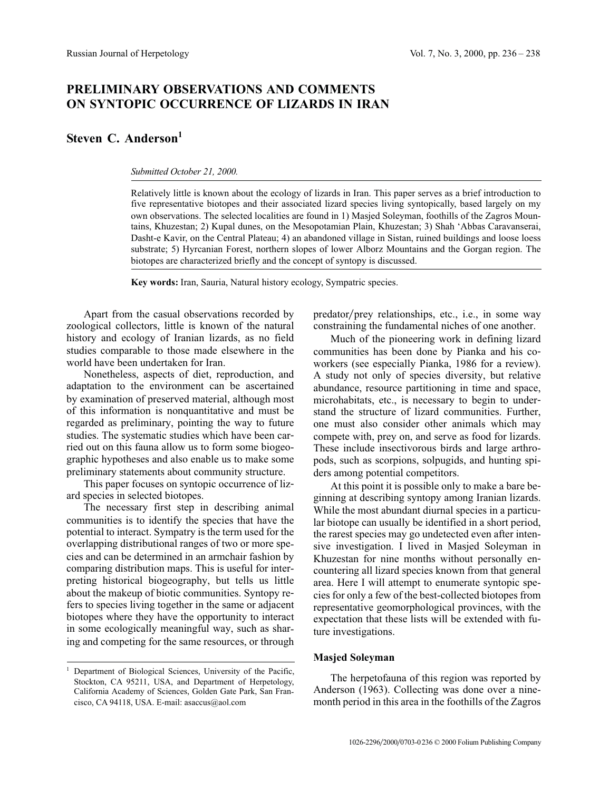# **PRELIMINARY OBSERVATIONS AND COMMENTS ON SYNTOPIC OCCURRENCE OF LIZARDS IN IRAN**

# **Steven C. Anderson**<sup>1</sup>

#### *Submitted October 21, 2000.*

Relatively little is known about the ecology of lizards in Iran. This paper serves as a brief introduction to five representative biotopes and their associated lizard species living syntopically, based largely on my own observations. The selected localities are found in 1) Masjed Soleyman, foothills of the Zagros Mountains, Khuzestan; 2) Kupal dunes, on the Mesopotamian Plain, Khuzestan; 3) Shah 'Abbas Caravanserai, Dasht-e Kavir, on the Central Plateau; 4) an abandoned village in Sistan, ruined buildings and loose loess substrate; 5) Hyrcanian Forest, northern slopes of lower Alborz Mountains and the Gorgan region. The biotopes are characterized briefly and the concept of syntopy is discussed.

**Key words:** Iran, Sauria, Natural history ecology, Sympatric species.

Apart from the casual observations recorded by zoological collectors, little is known of the natural history and ecology of Iranian lizards, as no field studies comparable to those made elsewhere in the world have been undertaken for Iran.

Nonetheless, aspects of diet, reproduction, and adaptation to the environment can be ascertained by examination of preserved material, although most of this information is nonquantitative and must be regarded as preliminary, pointing the way to future studies. The systematic studies which have been carried out on this fauna allow us to form some biogeographic hypotheses and also enable us to make some preliminary statements about community structure.

This paper focuses on syntopic occurrence of lizard species in selected biotopes.

The necessary first step in describing animal communities is to identify the species that have the potential to interact. Sympatry is the term used for the overlapping distributional ranges of two or more species and can be determined in an armchair fashion by comparing distribution maps. This is useful for interpreting historical biogeography, but tells us little about the makeup of biotic communities. Syntopy refers to species living together in the same or adjacent biotopes where they have the opportunity to interact in some ecologically meaningful way, such as sharing and competing for the same resources, or through predator/prey relationships, etc., i.e., in some way constraining the fundamental niches of one another.

Much of the pioneering work in defining lizard communities has been done by Pianka and his coworkers (see especially Pianka, 1986 for a review). A study not only of species diversity, but relative abundance, resource partitioning in time and space, microhabitats, etc., is necessary to begin to understand the structure of lizard communities. Further, one must also consider other animals which may compete with, prey on, and serve as food for lizards. These include insectivorous birds and large arthropods, such as scorpions, solpugids, and hunting spiders among potential competitors.

At this point it is possible only to make a bare beginning at describing syntopy among Iranian lizards. While the most abundant diurnal species in a particular biotope can usually be identified in a short period, the rarest species may go undetected even after intensive investigation. I lived in Masjed Soleyman in Khuzestan for nine months without personally encountering all lizard species known from that general area. Here I will attempt to enumerate syntopic species for only a few of the best-collected biotopes from representative geomorphological provinces, with the expectation that these lists will be extended with future investigations.

#### **Masjed Soleyman**

The herpetofauna of this region was reported by Anderson (1963). Collecting was done over a ninemonth period in this area in the foothills of the Zagros

<sup>1</sup> Department of Biological Sciences, University of the Pacific, Stockton, CA 95211, USA, and Department of Herpetology, California Academy of Sciences, Golden Gate Park, San Francisco, CA 94118, USA. E-mail: asaccus@aol.com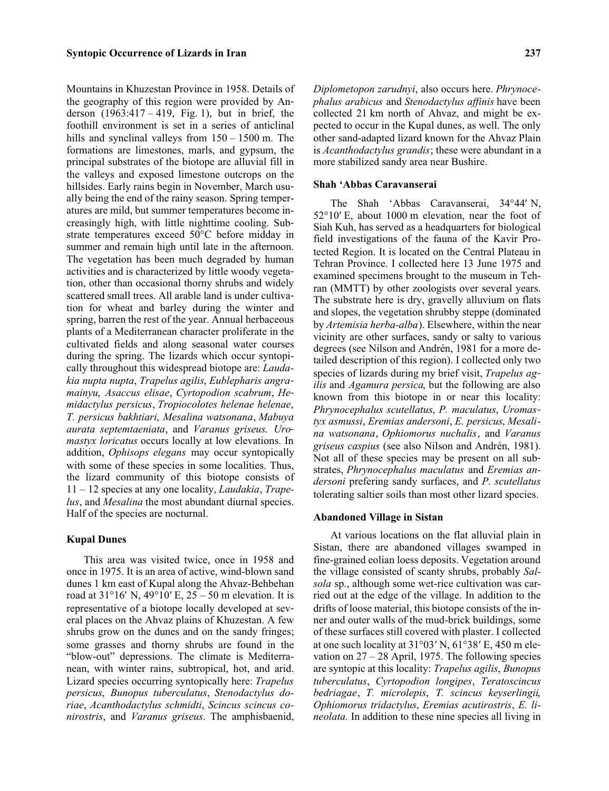Mountains in Khuzestan Province in 1958. Details of the geography of this region were provided by Anderson  $(1963:417 - 419,$  Fig. 1), but in brief, the foothill environment is set in a series of anticlinal hills and synclinal valleys from  $150 - 1500$  m. The formations are limestones, marls, and gypsum, the principal substrates of the biotope are alluvial fill in the valleys and exposed limestone outcrops on the hillsides. Early rains begin in November, March usually being the end of the rainy season. Spring temperatures are mild, but summer temperatures become increasingly high, with little nighttime cooling. Substrate temperatures exceed 50°C before midday in summer and remain high until late in the afternoon. The vegetation has been much degraded by human activities and is characterized by little woody vegetation, other than occasional thorny shrubs and widely scattered small trees. All arable land is under cultivation for wheat and barley during the winter and spring, barren the rest of the year. Annual herbaceous plants of a Mediterranean character proliferate in the cultivated fields and along seasonal water courses during the spring. The lizards which occur syntopically throughout this widespread biotope are: *Laudakia nupta nupta*, *Trapelus agilis*, *Eublepharis angramainyu*, *Asaccus elisae*, *Cyrtopodion scabrum*, *Hemidactylus persicus*, *Tropiocolotes helenae helenae*, *T. persicus bakhtiari*, *Mesalina watsonana*, *Mabuya aurata septemtaeniata*, and *Varanus griseus*. *Uromastyx loricatus* occurs locally at low elevations. In addition, *Ophisops elegans* may occur syntopically with some of these species in some localities. Thus, the lizard community of this biotope consists of 11 – 12 species at any one locality, *Laudakia*, *Trapelus*, and *Mesalina* the most abundant diurnal species. Half of the species are nocturnal.

# **Kupal Dunes**

This area was visited twice, once in 1958 and once in 1975. It is an area of active, wind-blown sand dunes 1 km east of Kupal along the Ahvaz-Behbehan road at  $31^{\circ}16'$  N,  $49^{\circ}10'$  E,  $25 - 50$  m elevation. It is representative of a biotope locally developed at several places on the Ahvaz plains of Khuzestan. A few shrubs grow on the dunes and on the sandy fringes; some grasses and thorny shrubs are found in the "blow-out" depressions. The climate is Mediterranean, with winter rains, subtropical, hot, and arid. Lizard species occurring syntopically here: *Trapelus persicus*, *Bunopus tuberculatus*, *Stenodactylus doriae*, *Acanthodactylus schmidti*, *Scincus scincus conirostris*, and *Varanus griseus*. The amphisbaenid, *Diplometopon zarudnyi*, also occurs here. *Phrynocephalus arabicus* and *Stenodactylus affinis* have been collected 21 km north of Ahvaz, and might be expected to occur in the Kupal dunes, as well. The only other sand-adapted lizard known for the Ahvaz Plain is *Acanthodactylus grandis*; these were abundant in a more stabilized sandy area near Bushire.

## **Shah 'Abbas Caravanserai**

The Shah 'Abbas Caravanserai, 34°44' N,  $52^{\circ}10'$  E, about 1000 m elevation, near the foot of Siah Kuh, has served as a headquarters for biological field investigations of the fauna of the Kavir Protected Region. It is located on the Central Plateau in Tehran Province. I collected here 13 June 1975 and examined specimens brought to the museum in Tehran (MMTT) by other zoologists over several years. The substrate here is dry, gravelly alluvium on flats and slopes, the vegetation shrubby steppe (dominated by *Artemisia herba-alba*). Elsewhere, within the near vicinity are other surfaces, sandy or salty to various degrees (see Nilson and Andrén, 1981 for a more detailed description of this region). I collected only two species of lizards during my brief visit, *Trapelus agilis* and *Agamura persica*, but the following are also known from this biotope in or near this locality: *Phrynocephalus scutellatus*, *P. maculatus*, *Uromastyx asmussi*, *Eremias andersoni*, *E. persicus*, *Mesalina watsonana*, *Ophiomorus nuchalis*, and *Varanus griseus caspius* (see also Nilson and Andrén, 1981). Not all of these species may be present on all substrates, *Phrynocephalus maculatus* and *Eremias andersoni* prefering sandy surfaces, and *P. scutellatus* tolerating saltier soils than most other lizard species.

## **Abandoned Village in Sistan**

At various locations on the flat alluvial plain in Sistan, there are abandoned villages swamped in fine-grained eolian loess deposits. Vegetation around the village consisted of scanty shrubs, probably *Salsola* sp., although some wet-rice cultivation was carried out at the edge of the village. In addition to the drifts of loose material, this biotope consists of the inner and outer walls of the mud-brick buildings, some of these surfaces still covered with plaster. I collected at one such locality at  $31^{\circ}03'$  N,  $61^{\circ}38'$  E,  $450$  m elevation on  $27 - 28$  April, 1975. The following species are syntopic at this locality: *Trapelus agilis*, *Bunopus tuberculatus*, *Cyrtopodion longipes*, *Teratoscincus bedriagae*, *T. microlepis*, *T. scincus keyserlingii*, *Ophiomorus tridactylus*, *Eremias acutirostris*, *E. lineolata.* In addition to these nine species all living in